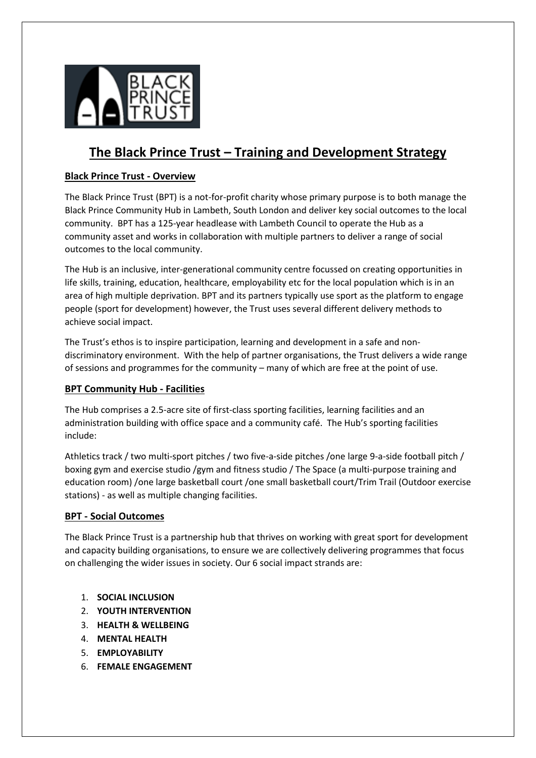

# **The Black Prince Trust – Training and Development Strategy**

# **Black Prince Trust - Overview**

The Black Prince Trust (BPT) is a not-for-profit charity whose primary purpose is to both manage the Black Prince Community Hub in Lambeth, South London and deliver key social outcomes to the local community. BPT has a 125-year headlease with Lambeth Council to operate the Hub as a community asset and works in collaboration with multiple partners to deliver a range of social outcomes to the local community.

The Hub is an inclusive, inter-generational community centre focussed on creating opportunities in life skills, training, education, healthcare, employability etc for the local population which is in an area of high multiple deprivation. BPT and its partners typically use sport as the platform to engage people (sport for development) however, the Trust uses several different delivery methods to achieve social impact.

The Trust's ethos is to inspire participation, learning and development in a safe and nondiscriminatory environment. With the help of partner organisations, the Trust delivers a wide range of sessions and programmes for the community – many of which are free at the point of use.

# **BPT Community Hub - Facilities**

The Hub comprises a 2.5-acre site of first-class sporting facilities, learning facilities and an administration building with office space and a community café. The Hub's sporting facilities include:

Athletics track / two multi-sport pitches / two five-a-side pitches /one large 9-a-side football pitch / boxing gym and exercise studio /gym and fitness studio / The Space (a multi-purpose training and education room) /one large basketball court /one small basketball court/Trim Trail (Outdoor exercise stations) - as well as multiple changing facilities.

# **BPT - Social Outcomes**

The Black Prince Trust is a partnership hub that thrives on working with great sport for development and capacity building organisations, to ensure we are collectively delivering programmes that focus on challenging the wider issues in society. Our 6 social impact strands are:

- 1. **SOCIAL INCLUSION**
- 2. **YOUTH INTERVENTION**
- 3. **HEALTH & WELLBEING**
- 4. **MENTAL HEALTH**
- 5. **EMPLOYABILITY**
- 6. **FEMALE ENGAGEMENT**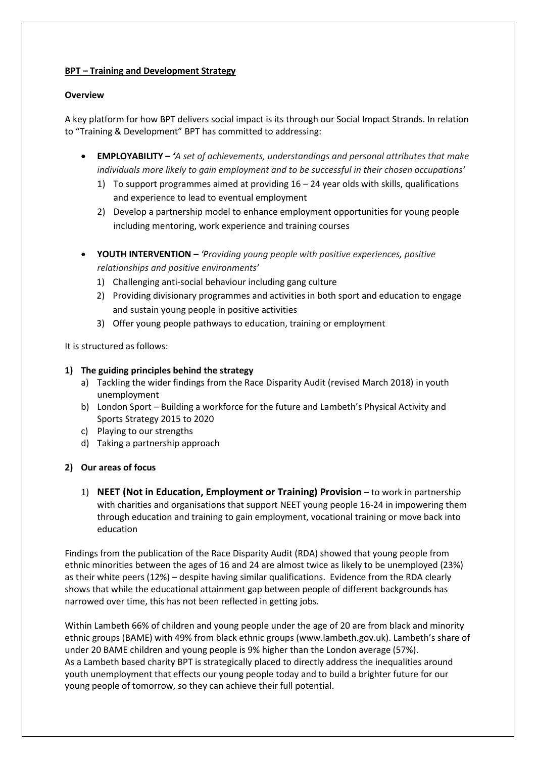## **BPT – Training and Development Strategy**

## **Overview**

A key platform for how BPT delivers social impact is its through our Social Impact Strands. In relation to "Training & Development" BPT has committed to addressing:

- **EMPLOYABILITY –** *'A set of achievements, understandings and personal attributes that make individuals more likely to gain employment and to be successful in their chosen occupations'*
	- 1) To support programmes aimed at providing 16 24 year olds with skills, qualifications and experience to lead to eventual employment
	- 2) Develop a partnership model to enhance employment opportunities for young people including mentoring, work experience and training courses
- **YOUTH INTERVENTION –** *'Providing young people with positive experiences, positive relationships and positive environments'*
	- 1) Challenging anti-social behaviour including gang culture
	- 2) Providing divisionary programmes and activities in both sport and education to engage and sustain young people in positive activities
	- 3) Offer young people pathways to education, training or employment

It is structured as follows:

## **1) The guiding principles behind the strategy**

- a) Tackling the wider findings from the Race Disparity Audit (revised March 2018) in youth unemployment
- b) London Sport Building a workforce for the future and Lambeth's Physical Activity and Sports Strategy 2015 to 2020
- c) Playing to our strengths
- d) Taking a partnership approach

# **2) Our areas of focus**

1) **NEET (Not in Education, Employment or Training) Provision** – to work in partnership with charities and organisations that support NEET young people 16-24 in impowering them through education and training to gain employment, vocational training or move back into education

Findings from the publication of the Race Disparity Audit (RDA) showed that young people from ethnic minorities between the ages of 16 and 24 are almost twice as likely to be unemployed (23%) as their white peers (12%) – despite having similar qualifications. Evidence from the RDA clearly shows that while the educational attainment gap between people of different backgrounds has narrowed over time, this has not been reflected in getting jobs.

Within Lambeth 66% of children and young people under the age of 20 are from black and minority ethnic groups (BAME) with 49% from black ethnic groups (www.lambeth.gov.uk). Lambeth's share of under 20 BAME children and young people is 9% higher than the London average (57%). As a Lambeth based charity BPT is strategically placed to directly address the inequalities around youth unemployment that effects our young people today and to build a brighter future for our young people of tomorrow, so they can achieve their full potential.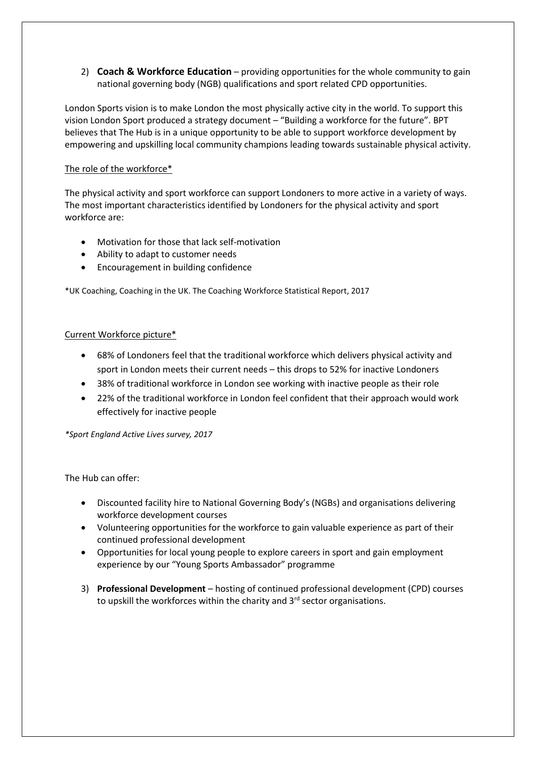2) **Coach & Workforce Education** – providing opportunities for the whole community to gain national governing body (NGB) qualifications and sport related CPD opportunities.

London Sports vision is to make London the most physically active city in the world. To support this vision London Sport produced a strategy document – "Building a workforce for the future". BPT believes that The Hub is in a unique opportunity to be able to support workforce development by empowering and upskilling local community champions leading towards sustainable physical activity.

## The role of the workforce\*

The physical activity and sport workforce can support Londoners to more active in a variety of ways. The most important characteristics identified by Londoners for the physical activity and sport workforce are:

- Motivation for those that lack self-motivation
- Ability to adapt to customer needs
- Encouragement in building confidence

\*UK Coaching, Coaching in the UK. The Coaching Workforce Statistical Report, 2017

## Current Workforce picture\*

- 68% of Londoners feel that the traditional workforce which delivers physical activity and sport in London meets their current needs – this drops to 52% for inactive Londoners
- 38% of traditional workforce in London see working with inactive people as their role
- 22% of the traditional workforce in London feel confident that their approach would work effectively for inactive people

*\*Sport England Active Lives survey, 2017* 

The Hub can offer:

- Discounted facility hire to National Governing Body's (NGBs) and organisations delivering workforce development courses
- Volunteering opportunities for the workforce to gain valuable experience as part of their continued professional development
- Opportunities for local young people to explore careers in sport and gain employment experience by our "Young Sports Ambassador" programme
- 3) **Professional Development** hosting of continued professional development (CPD) courses to upskill the workforces within the charity and 3<sup>rd</sup> sector organisations.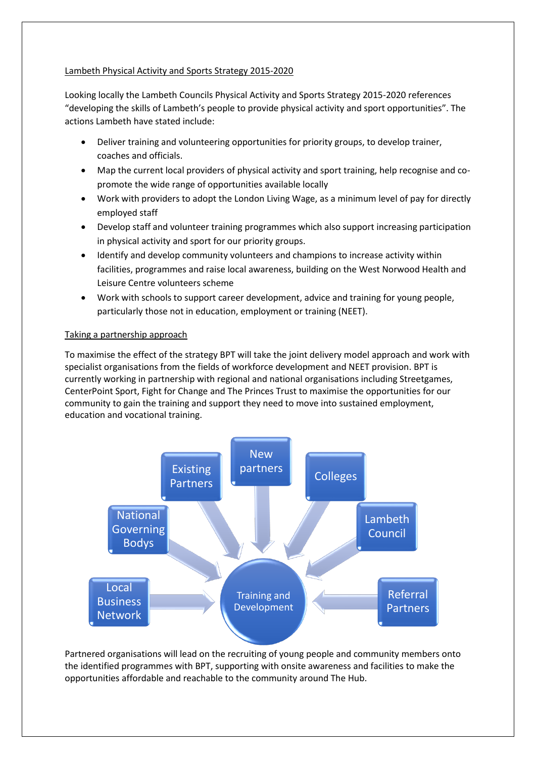## Lambeth Physical Activity and Sports Strategy 2015-2020

Looking locally the Lambeth Councils Physical Activity and Sports Strategy 2015-2020 references "developing the skills of Lambeth's people to provide physical activity and sport opportunities". The actions Lambeth have stated include:

- Deliver training and volunteering opportunities for priority groups, to develop trainer, coaches and officials.
- Map the current local providers of physical activity and sport training, help recognise and copromote the wide range of opportunities available locally
- Work with providers to adopt the London Living Wage, as a minimum level of pay for directly employed staff
- Develop staff and volunteer training programmes which also support increasing participation in physical activity and sport for our priority groups.
- Identify and develop community volunteers and champions to increase activity within facilities, programmes and raise local awareness, building on the West Norwood Health and Leisure Centre volunteers scheme
- Work with schools to support career development, advice and training for young people, particularly those not in education, employment or training (NEET).

## Taking a partnership approach

To maximise the effect of the strategy BPT will take the joint delivery model approach and work with specialist organisations from the fields of workforce development and NEET provision. BPT is currently working in partnership with regional and national organisations including Streetgames, CenterPoint Sport, Fight for Change and The Princes Trust to maximise the opportunities for our community to gain the training and support they need to move into sustained employment, education and vocational training.



Partnered organisations will lead on the recruiting of young people and community members onto the identified programmes with BPT, supporting with onsite awareness and facilities to make the opportunities affordable and reachable to the community around The Hub.